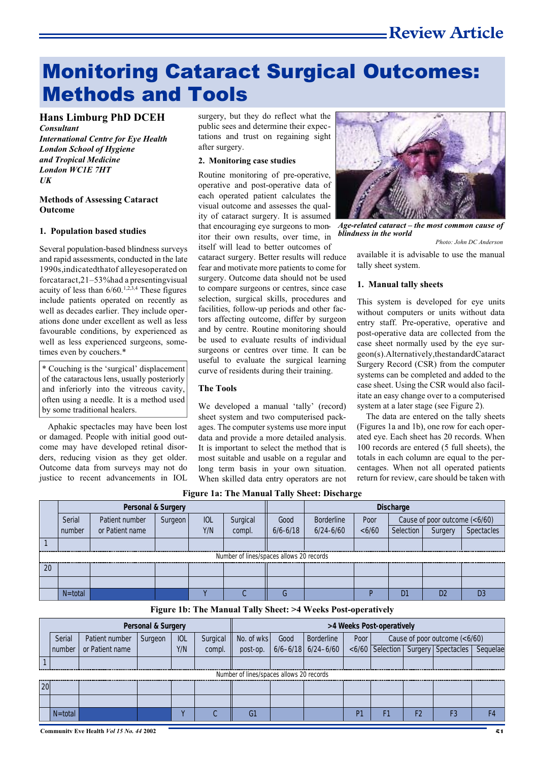# Monitoring Cataract Surgical Outcomes: Methods and Tools

# **Hans Limburg PhD DCEH**

*Consultant International Centre for Eye Health London School of Hygiene and Tropical Medicine London WC1E 7HT UK*

#### **Methods of Assessing Cataract Outcome**

#### **1. Population based studies**

Several population-based blindness surveys and rapid assessments, conducted in the late 1990s, indicated that of alleyes operated on forcataract,  $21 - 53\%$  had a presenting visual acuity of less than  $6/60$ .<sup>1,2,3,4</sup> These figures include patients operated on recently as well as decades earlier. They include operations done under excellent as well as less favourable conditions, by experienced as well as less experienced surgeons, sometimes even by couchers.\*

\* Couching is the 'surgical' displacement of the cataractous lens, usually posteriorly and inferiorly into the vitreous cavity, often using a needle. It is a method used by some traditional healers.

Aphakic spectacles may have been lost or damaged. People with initial good outcome may have developed retinal disorders, reducing vision as they get older. Outcome data from surveys may not do justice to recent advancements in IOL surgery, but they do reflect what the public sees and determine their expectations and trust on regaining sight after surgery.

### **2. Monitoring case studies**

Routine monitoring of pre-operative, operative and post-operative data of each operated patient calculates the visual outcome and assesses the quality of cataract surgery. It is assumed that encouraging eye surgeons to monitor their own results, over time, in itself will lead to better outcomes of

cataract surgery. Better results will reduce fear and motivate more patients to come for surgery. Outcome data should not be used to compare surgeons or centres, since case selection, surgical skills, procedures and facilities, follow-up periods and other factors affecting outcome, differ by surgeon and by centre. Routine monitoring should be used to evaluate results of individual surgeons or centres over time. It can be useful to evaluate the surgical learning curve of residents during their training.

#### **The Tools**

We developed a manual 'tally' (record) sheet system and two computerised packages. The computer systems use more input data and provide a more detailed analysis. It is important to select the method that is most suitable and usable on a regular and long term basis in your own situation. When skilled data entry operators are not



*Age-related cataract – the most common cause of blindness in the world*

*Photo: John DC Anderson*

available it is advisable to use the manual tally sheet system.

#### **1. Manual tally sheets**

This system is developed for eye units without computers or units without data entry staff. Pre-operative, operative and post-operative data are collected from the case sheet normally used by the eye surgeon(s). Alternatively, the standard Cataract Surgery Record (CSR) from the computer systems can be completed and added to the case sheet. Using the CSR would also facilitate an easy change over to a computerised system at a later stage (see Figure 2).

The data are entered on the tally sheets (Figures 1a and 1b), one row for each operated eye. Each sheet has 20 records. When 100 records are entered (5 full sheets), the totals in each column are equal to the percentages. When not all operated patients return for review, care should be taken with

**Figure 1a: The Manual Tally Sheet: Discharge**

|                                          | <b>Personal &amp; Surgery</b> |                 |         |            |          |              | <b>Discharge</b>  |       |           |                               |            |  |  |
|------------------------------------------|-------------------------------|-----------------|---------|------------|----------|--------------|-------------------|-------|-----------|-------------------------------|------------|--|--|
|                                          | Serial                        | Patient number  | Surgeon | <b>IOL</b> | Surgical | Good         | <b>Borderline</b> | Poor  |           | Cause of poor outcome (<6/60) |            |  |  |
|                                          | number                        | or Patient name |         | Y/N        | compl.   | $6/6 - 6/18$ | $6/24 - 6/60$     | <6/60 | Selection | Surgery                       | Spectacles |  |  |
|                                          |                               |                 |         |            |          |              |                   |       |           |                               |            |  |  |
| Number of lines/spaces allows 20 records |                               |                 |         |            |          |              |                   |       |           |                               |            |  |  |
| 20                                       |                               |                 |         |            |          |              |                   |       |           |                               |            |  |  |
|                                          |                               |                 |         |            |          |              |                   |       |           |                               |            |  |  |
|                                          | $N =$ total                   |                 |         |            |          |              |                   |       | D.        | D                             |            |  |  |

**Figure 1b: The Manual Tally Sheet: >4 Weeks Post-operatively**

| <b>Personal &amp; Surgery</b> |                                          |                 |         |            | >4 Weeks Post-operatively |            |      |                        |      |                               |    |                                          |                |
|-------------------------------|------------------------------------------|-----------------|---------|------------|---------------------------|------------|------|------------------------|------|-------------------------------|----|------------------------------------------|----------------|
|                               | Serial                                   | Patient number  | Surgeon | <b>IOL</b> | Surgical                  | No. of wks | Good | Borderline             | Poor | Cause of poor outcome (<6/60) |    |                                          |                |
|                               | number                                   | or Patient name |         | Y/N        | compl.                    | post-op.   |      | $6/6 - 6/18$ 6/24-6/60 |      |                               |    | <6/60   Selection   Surgery   Spectacles | Sequelae       |
|                               |                                          |                 |         |            |                           |            |      |                        |      |                               |    |                                          |                |
|                               | Number of lines/spaces allows 20 records |                 |         |            |                           |            |      |                        |      |                               |    |                                          |                |
| 20                            |                                          |                 |         |            |                           |            |      |                        |      |                               |    |                                          |                |
|                               |                                          |                 |         |            |                           |            |      |                        |      |                               |    |                                          |                |
|                               | $N = total$                              |                 |         |            |                           | G1         |      |                        | P1   | F1                            | F2 | F3                                       | F <sub>4</sub> |

**Community Eye Health** *Vol 15 No. 44* **2002 51**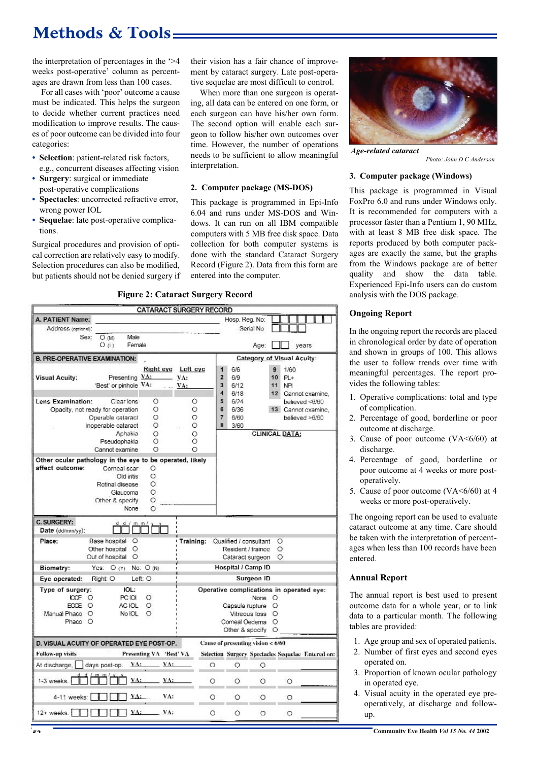# **Methods & Tools**

the interpretation of percentages in the '>4 weeks post-operative' column as percentages are drawn from less than 100 cases.

For all cases with 'poor' outcome a cause must be indicated. This helps the surgeon to decide whether current practices need modification to improve results. The causes of poor outcome can be divided into four categories:

- **• Selection**: patient-related risk factors, e.g., concurrent diseases affecting vision
- **• Surgery**: surgical or immediate post-operative complications
- **• Spectacles**: uncorrected refractive error, wrong power IOL
- **• Sequelae**: late post-operative complications.

Surgical procedures and provision of optical correction are relatively easy to modify. Selection procedures can also be modified, but patients should not be denied surgery if their vision has a fair chance of improvement by cataract surgery. Late post-operative sequelae are most difficult to control.

When more than one surgeon is operating, all data can be entered on one form, or each surgeon can have his/her own form. The second option will enable each surgeon to follow his/her own outcomes over time. However, the number of operations needs to be sufficient to allow meaningful interpretation.

#### **2. Computer package (MS-DOS)**

This package is programmed in Epi-Info 6.04 and runs under MS-DOS and Windows. It can run on all IBM compatible computers with 5 MB free disk space. Data collection for both computer systems is done with the standard Cataract Surgery Record (Figure 2). Data from this form are entered into the computer.



|                                                                         |                                               |                           | <b>CATARACT SURGERY RECORD</b> |                |                                                                                                   |                                                            |                                   |                 |  |
|-------------------------------------------------------------------------|-----------------------------------------------|---------------------------|--------------------------------|----------------|---------------------------------------------------------------------------------------------------|------------------------------------------------------------|-----------------------------------|-----------------|--|
| A. PATIENT Name:                                                        |                                               |                           |                                |                | Hosp. Reg. No:                                                                                    |                                                            |                                   |                 |  |
| Address (optional):                                                     |                                               |                           |                                |                | Serial No                                                                                         |                                                            |                                   |                 |  |
| Sex:                                                                    | Male<br>OM                                    |                           |                                |                |                                                                                                   |                                                            |                                   |                 |  |
|                                                                         | Female<br>O(1)                                |                           |                                |                |                                                                                                   | Age:                                                       | vears                             |                 |  |
| <b>B. PRE-OPERATIVE EXAMINATION:</b>                                    |                                               |                           |                                |                |                                                                                                   |                                                            | <b>Category of Visual Acuity:</b> |                 |  |
|                                                                         |                                               | Right eye                 | Left cyc                       | $\mathbf{1}$   | 6/6                                                                                               | 9                                                          | 1/60                              |                 |  |
| <b>Visual Acuity:</b>                                                   | Presenting YA:                                |                           | $\mathbf{V}$ A:                | $\overline{2}$ | 6/9                                                                                               | 10                                                         | $PL+$                             |                 |  |
|                                                                         | 'Best' or pinhole VA:                         |                           | $\ldots$ VA:                   | 3              | 6/12                                                                                              | 11                                                         | NP                                |                 |  |
|                                                                         |                                               |                           |                                | 4              | 6/18                                                                                              | 12                                                         |                                   | Cannot examine, |  |
| Lens Examination:                                                       | Clear lens                                    | O                         | Ó                              | 5              | 6/24                                                                                              |                                                            | believed <6/60                    |                 |  |
|                                                                         | Opacity, not ready for operation              | O                         | O                              | 6              | 6/36                                                                                              |                                                            | 13 Cannot examine.                |                 |  |
|                                                                         | Operable cataract                             | O                         | O                              | 7              | 6/60                                                                                              |                                                            | believed >6/60                    |                 |  |
|                                                                         | Inoperable cataract                           | $\circ$                   | $\circ$                        | 8              | 3/60                                                                                              |                                                            |                                   |                 |  |
|                                                                         | Aphakia                                       | O                         | O                              |                |                                                                                                   | <b>CLINICAL DATA:</b>                                      |                                   |                 |  |
|                                                                         | Pseudophakia                                  | $\circ$                   | O                              |                |                                                                                                   |                                                            |                                   |                 |  |
|                                                                         | Cannot examine                                | O                         | O                              |                |                                                                                                   |                                                            |                                   |                 |  |
| Other ocular pathology in the eye to be operated, likely                |                                               |                           |                                |                |                                                                                                   |                                                            |                                   |                 |  |
| affect outcome:                                                         | Corncal scar                                  | $\circ$                   |                                |                |                                                                                                   |                                                            |                                   |                 |  |
|                                                                         | Old iritis                                    | O                         |                                |                |                                                                                                   |                                                            |                                   |                 |  |
|                                                                         | Retinal disease                               | $\circ$                   |                                |                |                                                                                                   |                                                            |                                   |                 |  |
|                                                                         | Glaucoma                                      | $\circ$                   |                                |                |                                                                                                   |                                                            |                                   |                 |  |
|                                                                         | Other & specify                               | Ο                         |                                |                |                                                                                                   |                                                            |                                   |                 |  |
|                                                                         | None                                          | O                         |                                |                |                                                                                                   |                                                            |                                   |                 |  |
| C. SURGERY:<br>Date (dd/mm/yy):<br>Place:                               | $d$ $d$ $l$ $m$ $m$ $l$<br>Ó<br>Base hospital |                           | Training:                      |                | Qualified / consultant                                                                            |                                                            | $\circ$                           |                 |  |
|                                                                         | O<br>Other hospital                           |                           |                                |                | Resident / traince                                                                                |                                                            | $\circ$                           |                 |  |
|                                                                         | Out of hospital<br>$\circ$                    |                           |                                |                | Cataract surgeon                                                                                  |                                                            | O                                 |                 |  |
| Biometry:<br>Yes:                                                       | No: O (N)                                     | <b>Hospital / Camp ID</b> |                                |                |                                                                                                   |                                                            |                                   |                 |  |
| Eye operated:                                                           | Right: O<br>Left: O                           | Surgeon ID                |                                |                |                                                                                                   |                                                            |                                   |                 |  |
| Type of surgery:<br><b>CCF O</b><br>ECCE O<br>Manual Phaco O<br>Phaco O | IOL:<br>PC IOI<br>AC IOL<br>No IOL            | $\circ$<br>O<br>O         |                                |                | Operative complications in operated eye:<br>Capsule rupture<br>Corneal Oederna<br>Other & specify | None O<br>$\circ$<br>Vitreous loss O<br>$\circ$<br>$\circ$ |                                   |                 |  |
| D. VISUAL ACUITY OF OPERATED EYE POST-OP.                               |                                               |                           |                                |                | Cause of presenting vision < 6/60                                                                 |                                                            |                                   |                 |  |
| Follow-up visits                                                        |                                               | Presenting VA 'Best' VA   |                                |                | Selection Surgery Spectacles Sequelae Entered on:                                                 |                                                            |                                   |                 |  |
| At discharge,                                                           | VA:<br>days post-op.                          | VA:                       |                                | O              | O                                                                                                 | O                                                          |                                   |                 |  |
| $1-3$ weeks.                                                            | VA:                                           | VA:                       |                                | O              | Ο                                                                                                 | O                                                          | Ó                                 |                 |  |
| 4-11 weeks:                                                             | VA:                                           | VA:                       |                                | O              | O                                                                                                 | Ó                                                          | O                                 |                 |  |
| $12 + weeks$                                                            | VA:                                           | VA:                       |                                | Ō              | $\circ$                                                                                           | $\circ$                                                    | O                                 |                 |  |



*Age-related cataract*

*Photo: John D C Anderson*

#### **3. Computer package (Windows)**

This package is programmed in Visual FoxPro 6.0 and runs under Windows only. It is recommended for computers with a processor faster than a Pentium 1, 90 MHz, with at least 8 MB free disk space. The reports produced by both computer packages are exactly the same, but the graphs from the Windows package are of better quality and show the data table. Experienced Epi-Info users can do custom analysis with the DOS package.

# **Ongoing Report**

In the ongoing report the records are placed in chronological order by date of operation and shown in groups of 100. This allows the user to follow trends over time with meaningful percentages. The report provides the following tables:

- 1. Operative complications: total and type of complication.
- 2. Percentage of good, borderline or poor outcome at discharge.
- 3. Cause of poor outcome  $(VA \le 6/60)$  at discharge.
- 4. Percentage of good, borderline or poor outcome at 4 weeks or more postoperatively.
- 5. Cause of poor outcome (VA<6/60) at 4 weeks or more post-operatively.

The ongoing report can be used to evaluate cataract outcome at any time. Care should be taken with the interpretation of percentages when less than 100 records have been entered.

### **Annual Report**

The annual report is best used to present outcome data for a whole year, or to link data to a particular month. The following tables are provided:

- 1. Age group and sex of operated patients.
- 2. Number of first eyes and second eyes operated on.
- 3. Proportion of known ocular pathology in operated eye.
- 4. Visual acuity in the operated eye preoperatively, at discharge and followup.